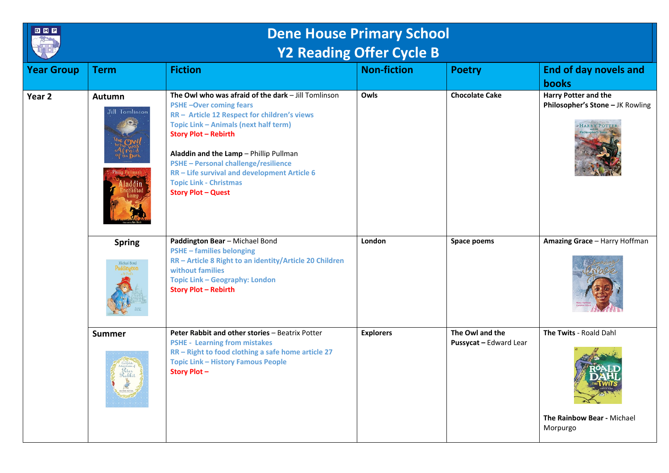

## **Dene House Primary School Y2 Reading Offer Cycle B**

|                   |                                             |                                                                                                                                                                                                                                                                                                                                                                                                                     | ______             |                                           |                                                                  |
|-------------------|---------------------------------------------|---------------------------------------------------------------------------------------------------------------------------------------------------------------------------------------------------------------------------------------------------------------------------------------------------------------------------------------------------------------------------------------------------------------------|--------------------|-------------------------------------------|------------------------------------------------------------------|
| <b>Year Group</b> | <b>Term</b>                                 | <b>Fiction</b>                                                                                                                                                                                                                                                                                                                                                                                                      | <b>Non-fiction</b> | <b>Poetry</b>                             | <b>End of day novels and</b><br>books                            |
| Year <sub>2</sub> | Autumn<br>Jill Tomlinson                    | The Owl who was afraid of the dark - Jill Tomlinson<br><b>PSHE-Over coming fears</b><br>RR - Article 12 Respect for children's views<br>Topic Link - Animals (next half term)<br><b>Story Plot - Rebirth</b><br>Aladdin and the Lamp - Phillip Pullman<br><b>PSHE - Personal challenge/resilience</b><br>RR - Life survival and development Article 6<br><b>Topic Link - Christmas</b><br><b>Story Plot - Quest</b> | Owls               | <b>Chocolate Cake</b>                     | <b>Harry Potter and the</b><br>Philosopher's Stone - JK Rowling  |
|                   | <b>Spring</b><br>Michael Bond<br>Paddington | Paddington Bear - Michael Bond<br><b>PSHE-families belonging</b><br>RR - Article 8 Right to an identity/Article 20 Children<br>without families<br><b>Topic Link - Geography: London</b><br><b>Story Plot - Rebirth</b>                                                                                                                                                                                             | London             | Space poems                               | Amazing Grace - Harry Hoffman                                    |
|                   | <b>Summer</b><br>Rabbi                      | Peter Rabbit and other stories - Beatrix Potter<br><b>PSHE - Learning from mistakes</b><br>RR - Right to food clothing a safe home article 27<br><b>Topic Link - History Famous People</b><br><b>Story Plot-</b>                                                                                                                                                                                                    | <b>Explorers</b>   | The Owl and the<br>Pussycat - Edward Lear | The Twits - Roald Dahl<br>The Rainbow Bear - Michael<br>Morpurgo |